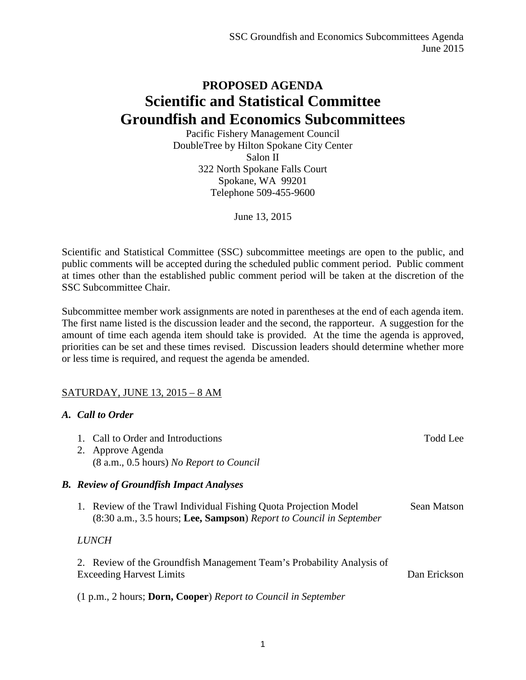## **PROPOSED AGENDA Scientific and Statistical Committee Groundfish and Economics Subcommittees**

Pacific Fishery Management Council DoubleTree by Hilton Spokane City Center Salon II 322 North Spokane Falls Court Spokane, WA 99201 Telephone 509-455-9600

June 13, 2015

Scientific and Statistical Committee (SSC) subcommittee meetings are open to the public, and public comments will be accepted during the scheduled public comment period. Public comment at times other than the established public comment period will be taken at the discretion of the SSC Subcommittee Chair.

Subcommittee member work assignments are noted in parentheses at the end of each agenda item. The first name listed is the discussion leader and the second, the rapporteur. A suggestion for the amount of time each agenda item should take is provided. At the time the agenda is approved, priorities can be set and these times revised. Discussion leaders should determine whether more or less time is required, and request the agenda be amended.

## SATURDAY, JUNE 13, 2015 – 8 AM

## *A. Call to Order*

| 1. Call to Order and Introductions<br>2. Approve Agenda<br>(8 a.m., 0.5 hours) No Report to Council                                     | Todd Lee     |
|-----------------------------------------------------------------------------------------------------------------------------------------|--------------|
| <b>B.</b> Review of Groundfish Impact Analyses                                                                                          |              |
| 1. Review of the Trawl Individual Fishing Quota Projection Model<br>(8:30 a.m., 3.5 hours; Lee, Sampson) Report to Council in September | Sean Matson  |
| <i>LUNCH</i>                                                                                                                            |              |
| 2. Review of the Groundfish Management Team's Probability Analysis of<br><b>Exceeding Harvest Limits</b>                                | Dan Erickson |
|                                                                                                                                         |              |

(1 p.m., 2 hours; **Dorn, Cooper**) *Report to Council in September*